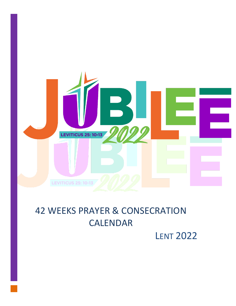

# 42 WEEKS PRAYER & CONSECRATION CALENDAR

LENT 2022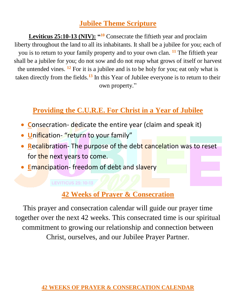## **Jubilee Theme Scripture**

**Leviticus 25:10-13 (NIV): " <sup>10</sup>** Consecrate the fiftieth year and proclaim liberty throughout the land to all its inhabitants. It shall be a jubilee for you; each of you is to return to your family property and to your own clan. **<sup>11</sup>** The fiftieth year shall be a jubilee for you; do not sow and do not reap what grows of itself or harvest the untended vines. **<sup>12</sup>** For it is a jubilee and is to be holy for you; eat only what is taken directly from the fields.**<sup>13</sup>** In this Year of Jubilee everyone is to return to their own property."

## **Providing the C.U.R.E. For Christ in a Year of Jubilee**

- **Consecration- dedicate the entire year (claim and speak it)**
- **U**nification- "return to your family"
- **Recalibration- The purpose of the debt cancelation was to reset** for the next years to come.
- **E**mancipation-freedom of debt and slavery

### **LEVITICUS 25: 10-13**

## **42 Weeks of Prayer & Consecration**

This prayer and consecration calendar will guide our prayer time together over the next 42 weeks. This consecrated time is our spiritual commitment to growing our relationship and connection between Christ, ourselves, and our Jubilee Prayer Partner.

## **42 WEEKS OF PRAYER & CONSERCATION CALENDAR**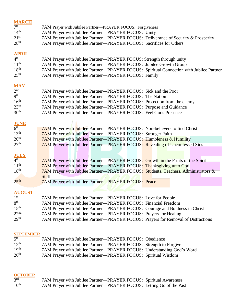| <b>MARCH</b>                   |                                                                                         |
|--------------------------------|-----------------------------------------------------------------------------------------|
| 7 <sup>th</sup>                | 7AM Prayer with Jubilee Partner—PRAYER FOCUS: Forgiveness                               |
| 14 <sup>th</sup>               | 7AM Prayer with Jubilee Partner-PRAYER FOCUS: Unity                                     |
| 21 <sup>st</sup>               | 7AM Prayer with Jubilee Partner—PRAYER FOCUS: Deliverance of Security & Prosperity      |
| 28 <sup>th</sup>               | 7AM Prayer with Jubilee Partner—PRAYER FOCUS: Sacrifices for Others                     |
|                                |                                                                                         |
| <b>APRIL</b>                   |                                                                                         |
| 4 <sup>th</sup>                | 7AM Prayer with Jubilee Partner-PRAYER FOCUS: Strength through unity                    |
| 11 <sup>th</sup>               | 7AM Prayer with Jubilee Partner—PRAYER FOCUS: Jubilee Growth Group                      |
| 18 <sup>th</sup>               | 7AM Prayer with Jubilee Partner-PRAYER FOCUS: Spiritual Connection with Jubilee Partner |
| 25 <sup>th</sup>               | 7AM Prayer with Jubilee Partner—PRAYER FOCUS: Family                                    |
|                                |                                                                                         |
| <b>MAY</b>                     |                                                                                         |
| 2 <sub>nd</sub>                | 7AM Prayer with Jubilee Partner—PRAYER FOCUS: Sick and the Poor                         |
| 9 <sup>th</sup>                | 7AM Prayer with Jubilee Partner-PRAYER FOCUS: The Nation                                |
| 16 <sup>th</sup>               | 7AM Prayer with Jubilee Partner—PRAYER FOCUS: Protection from the enemy                 |
| 23 <sup>rd</sup>               | 7AM Prayer with Jubilee Partner-PRAYER FOCUS: Purpose and Guidance                      |
| 30 <sup>th</sup>               | 7AM Prayer with Jubilee Partner-PRAYER FOCUS: Feel Gods Presence                        |
|                                |                                                                                         |
|                                |                                                                                         |
| <b>JUNE</b><br>6 <sup>th</sup> |                                                                                         |
| 13 <sup>th</sup>               | 7AM Prayer with Jubilee Partner-PRAYER FOCUS: Non-believers to find Christ              |
| 20 <sup>th</sup>               | <b>7AM</b> Prayer with Jubilee Partner—PRAYER FOCUS: Stronger Faith                     |
| 27 <sup>th</sup>               | 7AM Prayer with Jubilee Partner-PRAYER FOCUS: Humbleness & Humility                     |
|                                | <b>7AM Prayer with Jubilee Partner—PRAYER FOCUS: Revealing of Unconfessed Sins</b>      |
|                                |                                                                                         |
| <b>JULY</b>                    |                                                                                         |
| 4 <sup>th</sup>                | <b>7AM</b> Prayer with Jubilee Partner—PRAYER FOCUS: Growth in the Fruits of the Spirit |
| 11 <sup>th</sup>               | <b>7AM</b> Prayer with Jubilee Partner—PRAYER FOCUS: Thanksgiving unto God              |
| 18 <sup>th</sup>               | 7AM Prayer with Jubilee Partner—PRAYER FOCUS: Students, Teachers, Administrators &      |
|                                | <b>Staff</b>                                                                            |
| $25^{\text{th}}$               | 7AM Prayer with Jubilee Partner-PRAYER FOCUS: Peace                                     |
|                                |                                                                                         |
| <b>AUGUST</b>                  |                                                                                         |
| 1 <sup>st</sup>                | 7AM Prayer with Jubilee Partner—PRAYER FOCUS: Love for People                           |
| 8 <sup>th</sup>                | 7AM Prayer with Jubilee Partner—PRAYER FOCUS: Financial Freedom                         |
| 15 <sup>th</sup>               | 7AM Prayer with Jubilee Partner-PRAYER FOCUS: Courage and Boldness in Christ            |
| 22 <sup>nd</sup>               | 7AM Prayer with Jubilee Partner—PRAYER FOCUS: Prayers for Healing                       |
| 29 <sup>th</sup>               | 7AM Prayer with Jubilee Partner—PRAYER FOCUS: Prayers for Removal of Distractions       |
|                                |                                                                                         |
|                                |                                                                                         |

### **SEPTEMBER**

| 5 <sup>th</sup>  | 7AM Prayer with Jubilee Partner—PRAYER FOCUS: Obedience                |
|------------------|------------------------------------------------------------------------|
| $12^{th}$        | 7AM Prayer with Jubilee Partner—PRAYER FOCUS: Strength to Forgive      |
| 19 <sup>th</sup> | 7AM Prayer with Jubilee Partner—PRAYER FOCUS: Understanding God's Word |
| 26 <sup>th</sup> | 7AM Prayer with Jubilee Partner—PRAYER FOCUS: Spiritual Wisdom         |

### **OCTOBER**

| 3 <sup>rd</sup>  | 7AM Prayer with Jubilee Partner—PRAYER FOCUS: Spiritual Awareness    |
|------------------|----------------------------------------------------------------------|
| $10^{\text{th}}$ | 7AM Prayer with Jubilee Partner—PRAYER FOCUS: Letting Go of the Past |